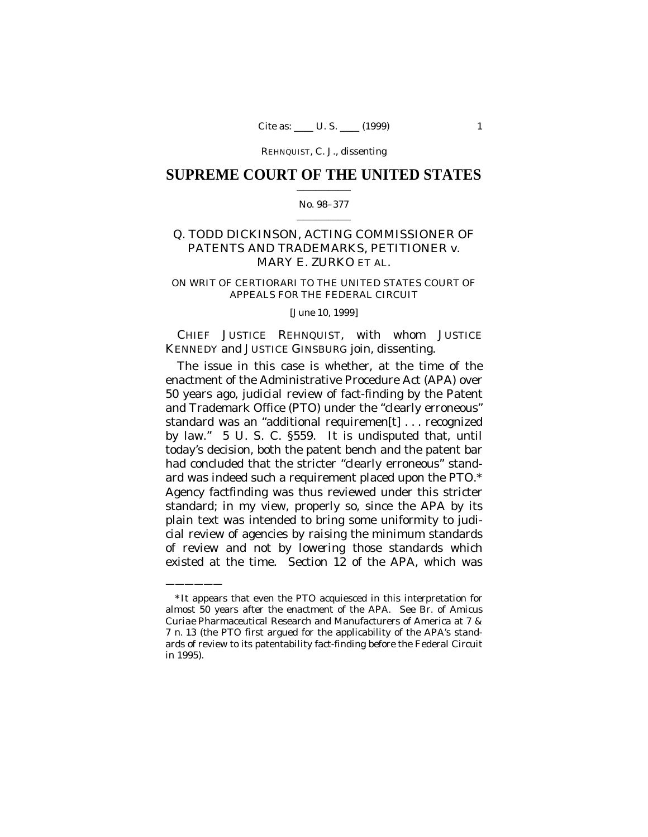REHNQUIST, C. J., dissenting

### **SUPREME COURT OF THE UNITED STATES**  $\mathcal{L}_\text{max}$  and  $\mathcal{L}_\text{max}$

#### No. 98–377  $\mathcal{L}_\text{max}$  and  $\mathcal{L}_\text{max}$

## Q. TODD DICKINSON, ACTING COMMISSIONER OF PATENTS AND TRADEMARKS, PETITIONER *v.* MARY E. ZURKO ET AL.

### ON WRIT OF CERTIORARI TO THE UNITED STATES COURT OF APPEALS FOR THE FEDERAL CIRCUIT

#### [June 10, 1999]

CHIEF JUSTICE REHNQUIST, with whom JUSTICE KENNEDY and JUSTICE GINSBURG join, dissenting.

The issue in this case is whether, at the time of the enactment of the Administrative Procedure Act (APA) over 50 years ago, judicial review of fact-finding by the Patent and Trademark Office (PTO) under the "clearly erroneous" standard was an "additional requiremen[t] . . . recognized by law." 5 U. S. C. §559. It is undisputed that, until today's decision, both the patent bench and the patent bar had concluded that the stricter "clearly erroneous" standard was indeed such a requirement placed upon the PTO.\* Agency factfinding was thus reviewed under this stricter standard; in my view, properly so, since the APA by its plain text was intended to bring some uniformity to judicial review of agencies by *raising* the minimum standards of review and not by *lowering* those standards which existed at the time. Section 12 of the APA, which was

——————

<sup>\*</sup>It appears that even the PTO acquiesced in this interpretation for almost 50 years after the enactment of the APA. See Br. of *Amicus Curiae* Pharmaceutical Research and Manufacturers of America at 7 & 7 n. 13 (the PTO first argued for the applicability of the APA's standards of review to its patentability fact-finding before the Federal Circuit in 1995).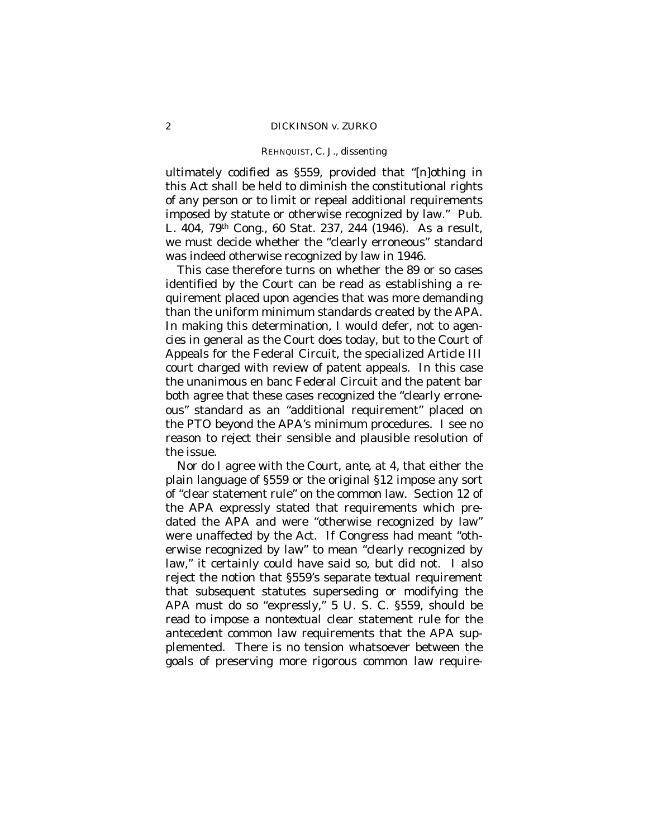### REHNQUIST, C. J., dissenting

ultimately codified as §559, provided that "[n]othing in this Act shall be held to diminish the constitutional rights of any person or to limit or repeal additional requirements imposed by statute or otherwise recognized by law." Pub. L. 404, 79th Cong., 60 Stat. 237, 244 (1946). As a result, we must decide whether the "clearly erroneous" standard was indeed otherwise recognized by law in 1946.

This case therefore turns on whether the 89 or so cases identified by the Court can be read as establishing a requirement placed upon agencies that was more demanding than the uniform minimum standards created by the APA. In making this determination, I would defer, not to agencies in general as the Court does today, but to the Court of Appeals for the Federal Circuit, the specialized Article III court charged with review of patent appeals. In this case the unanimous en banc Federal Circuit and the patent bar both agree that these cases recognized the "clearly erroneous" standard as an "additional requirement" placed on the PTO beyond the APA's minimum procedures. I see no reason to reject their sensible and plausible resolution of the issue.

Nor do I agree with the Court, *ante*, at 4, that either the plain language of §559 or the original §12 impose any sort of "clear statement rule" on the common law. Section 12 of the APA expressly stated that requirements which predated the APA and were "otherwise recognized by law" were unaffected by the Act. If Congress had meant "otherwise recognized by law" to mean "clearly recognized by law," it certainly could have said so, but did not. I also reject the notion that §559's separate *textual* requirement that *subsequent* statutes superseding or modifying the APA must do so "expressly," 5 U. S. C. §559, should be read to impose a *nontextual* clear statement rule for the *antecedent* common law requirements that the APA supplemented. There is no tension whatsoever between the goals of preserving more rigorous common law require-